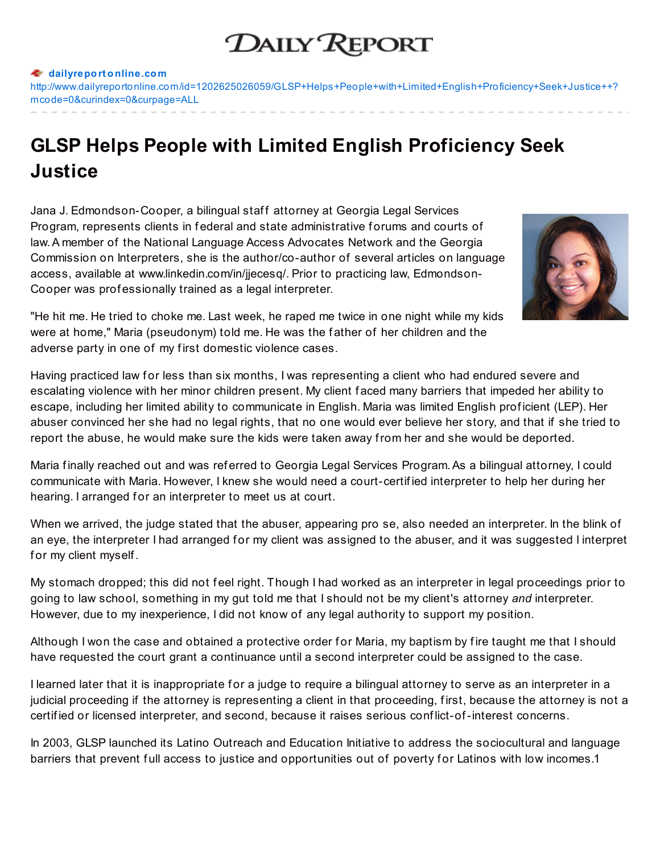## **DAILY REPORT**

## **dailyreport [online.com](http://www.dailyreportonline.com)**

[http://www.dailyreportonline.com/id=1202625026059/GLSP+Helps+People+with+Limited+English+Proficiency+Seek+Justice++?](http://www.dailyreportonline.com/id=1202625026059/GLSP+Helps+People+with+Limited+English+Proficiency+Seek+Justice++%3Fmcode=0&curindex=0&curpage=ALL) mcode=0&curindex=0&curpage=ALL

## **GLSP Helps People with Limited English Proficiency Seek Justice**

Jana J. Edmondson-Cooper, a bilingual staff attorney at Georgia Legal Services Program, represents clients in federal and state administrative forums and courts of law.A member of the National Language Access Advocates Network and the Georgia Commission on Interpreters, she is the author/co-author of several articles on language access, available at www.linkedin.com/in/jjecesq/. Prior to practicing law, Edmondson-Cooper was prof essionally trained as a legal interpreter.



"He hit me. He tried to choke me. Last week, he raped me twice in one night while my kids were at home," Maria (pseudonym) told me. He was the f ather of her children and the adverse party in one of my f irst domestic violence cases.

Having practiced law for less than six months, I was representing a client who had endured severe and escalating violence with her minor children present. My client f aced many barriers that impeded her ability to escape, including her limited ability to communicate in English. Maria was limited English prof icient (LEP). Her abuser convinced her she had no legal rights, that no one would ever believe her story, and that if she tried to report the abuse, he would make sure the kids were taken away from her and she would be deported.

Maria finally reached out and was referred to Georgia Legal Services Program. As a bilingual attorney, I could communicate with Maria. However, I knew she would need a court-certif ied interpreter to help her during her hearing. I arranged for an interpreter to meet us at court.

When we arrived, the judge stated that the abuser, appearing pro se, also needed an interpreter. In the blink of an eye, the interpreter I had arranged for my client was assigned to the abuser, and it was suggested I interpret for my client myself.

My stomach dropped; this did not f eel right. Though I had worked as an interpreter in legal proceedings prior to going to law school, something in my gut told me that I should not be my client's attorney *and* interpreter. However, due to my inexperience, I did not know of any legal authority to support my position.

Although I won the case and obtained a protective order for Maria, my baptism by fire taught me that I should have requested the court grant a continuance until a second interpreter could be assigned to the case.

I learned later that it is inappropriate for a judge to require a bilingual attorney to serve as an interpreter in a judicial proceeding if the attorney is representing a client in that proceeding, first, because the attorney is not a certif ied or licensed interpreter, and second, because it raises serious conf lict-of-interest concerns.

In 2003, GLSP launched its Latino Outreach and Education Initiative to address the sociocultural and language barriers that prevent full access to justice and opportunities out of poverty for Latinos with low incomes.1